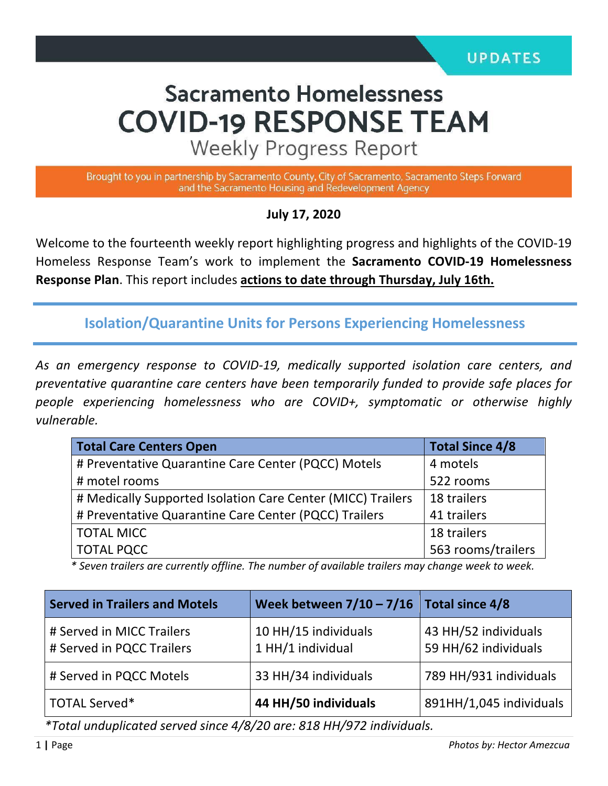# **Sacramento Homelessness COVID-19 RESPONSE TEAM**

**Weekly Progress Report** 

Brought to you in partnership by Sacramento County, City of Sacramento, Sacramento Steps Forward and the Sacramento Housing and Redevelopment Agency

#### **July 17, 2020**

Welcome to the fourteenth weekly report highlighting progress and highlights of the COVID-19 Homeless Response Team's work to implement the **Sacramento COVID-19 Homelessness Response Plan**. This report includes **actions to date through Thursday, July 16th.**

**Isolation/Quarantine Units for Persons Experiencing Homelessness**

*As an emergency response to COVID-19, medically supported isolation care centers, and preventative quarantine care centers have been temporarily funded to provide safe places for people experiencing homelessness who are COVID+, symptomatic or otherwise highly vulnerable.*

| <b>Total Care Centers Open</b>                              | <b>Total Since 4/8</b> |  |
|-------------------------------------------------------------|------------------------|--|
| # Preventative Quarantine Care Center (PQCC) Motels         | 4 motels               |  |
| # motel rooms                                               | 522 rooms              |  |
| # Medically Supported Isolation Care Center (MICC) Trailers | 18 trailers            |  |
| # Preventative Quarantine Care Center (PQCC) Trailers       | 41 trailers            |  |
| <b>TOTAL MICC</b>                                           | 18 trailers            |  |
| <b>TOTAL PQCC</b>                                           | 563 rooms/trailers     |  |

 *\* Seven trailers are currently offline. The number of available trailers may change week to week.*

| <b>Served in Trailers and Motels</b>                   | Week between $7/10 - 7/16$ Total since 4/8 |                                              |
|--------------------------------------------------------|--------------------------------------------|----------------------------------------------|
| # Served in MICC Trailers<br># Served in PQCC Trailers | 10 HH/15 individuals<br>1 HH/1 individual  | 43 HH/52 individuals<br>59 HH/62 individuals |
| # Served in PQCC Motels                                | 33 HH/34 individuals                       | 789 HH/931 individuals                       |
| TOTAL Served*                                          | 44 HH/50 individuals                       | 891HH/1,045 individuals                      |

*\*Total unduplicated served since 4/8/20 are: 818 HH/972 individuals.*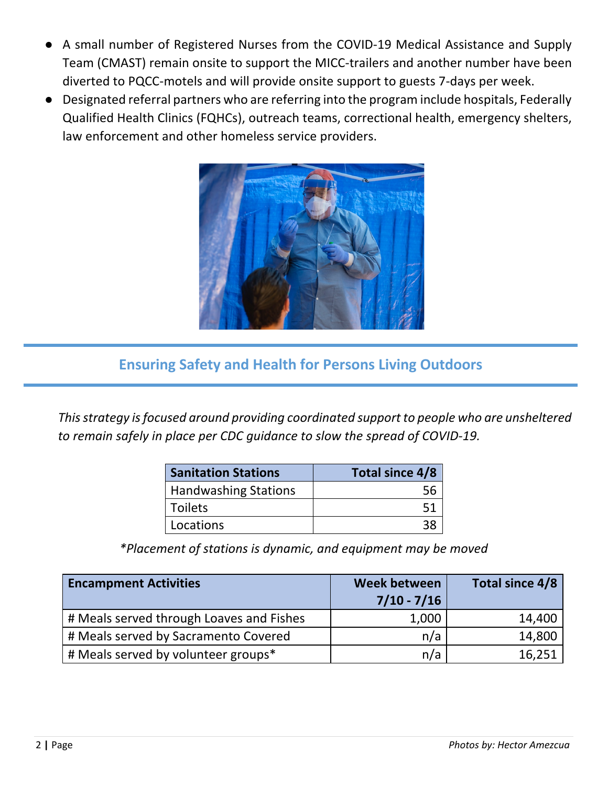- A small number of Registered Nurses from the COVID-19 Medical Assistance and Supply Team (CMAST) remain onsite to support the MICC-trailers and another number have been diverted to PQCC-motels and will provide onsite support to guests 7-days per week.
- Designated referral partners who are referring into the program include hospitals, Federally Qualified Health Clinics (FQHCs), outreach teams, correctional health, emergency shelters, law enforcement and other homeless service providers.



## **Ensuring Safety and Health for Persons Living Outdoors**

*This strategy is focused around providing coordinated support to people who are unsheltered to remain safely in place per CDC guidance to slow the spread of COVID-19.*

| <b>Sanitation Stations</b>  | Total since 4/8 |
|-----------------------------|-----------------|
| <b>Handwashing Stations</b> |                 |
| <b>Toilets</b>              |                 |
| Locations                   |                 |

*\*Placement of stations is dynamic, and equipment may be moved*

| <b>Encampment Activities</b>             | Week between  | Total since 4/8 |
|------------------------------------------|---------------|-----------------|
|                                          | $7/10 - 7/16$ |                 |
| # Meals served through Loaves and Fishes | 1,000         | 14,400          |
| # Meals served by Sacramento Covered     | n/a           | 14,800          |
| # Meals served by volunteer groups*      | n/a           | 16,251          |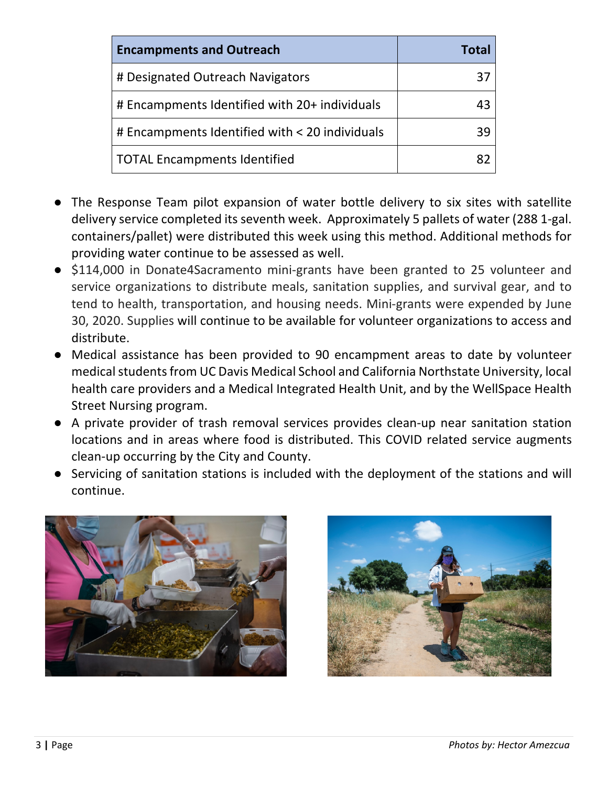| <b>Encampments and Outreach</b>                | <b>Total</b> |
|------------------------------------------------|--------------|
| # Designated Outreach Navigators               | 37           |
| # Encampments Identified with 20+ individuals  | 43           |
| # Encampments Identified with < 20 individuals | 39           |
| <b>TOTAL Encampments Identified</b>            | 87           |

- The Response Team pilot expansion of water bottle delivery to six sites with satellite delivery service completed its seventh week. Approximately 5 pallets of water (288 1-gal. containers/pallet) were distributed this week using this method. Additional methods for providing water continue to be assessed as well.
- \$114,000 in Donate4Sacramento mini-grants have been granted to 25 volunteer and service organizations to distribute meals, sanitation supplies, and survival gear, and to tend to health, transportation, and housing needs. Mini-grants were expended by June 30, 2020. Supplies will continue to be available for volunteer organizations to access and distribute.
- Medical assistance has been provided to 90 encampment areas to date by volunteer medical students from UC Davis Medical School and California Northstate University, local health care providers and a Medical Integrated Health Unit, and by the WellSpace Health Street Nursing program.
- A private provider of trash removal services provides clean-up near sanitation station locations and in areas where food is distributed. This COVID related service augments clean-up occurring by the City and County.
- Servicing of sanitation stations is included with the deployment of the stations and will continue.



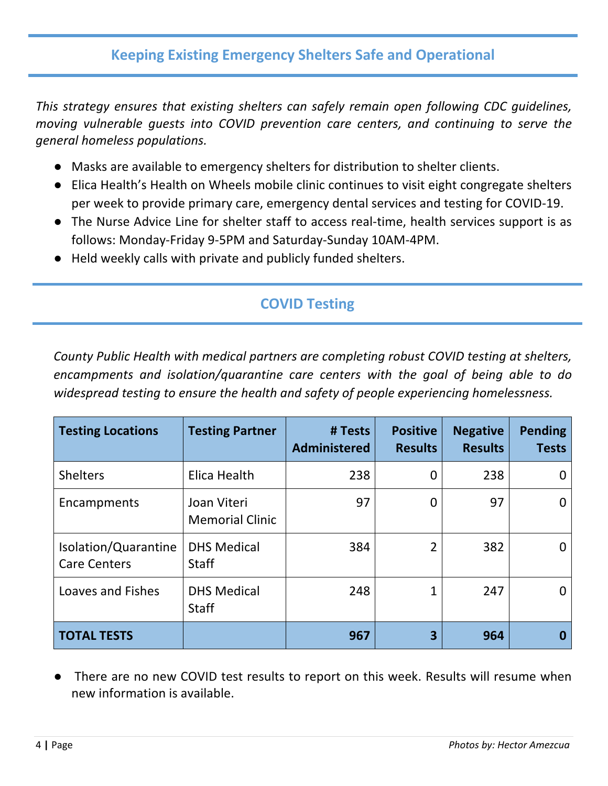### **Keeping Existing Emergency Shelters Safe and Operational**

*This strategy ensures that existing shelters can safely remain open following CDC guidelines, moving vulnerable guests into COVID prevention care centers, and continuing to serve the general homeless populations.* 

- Masks are available to emergency shelters for distribution to shelter clients.
- Elica Health's Health on Wheels mobile clinic continues to visit eight congregate shelters per week to provide primary care, emergency dental services and testing for COVID-19.
- The Nurse Advice Line for shelter staff to access real-time, health services support is as follows: Monday-Friday 9-5PM and Saturday-Sunday 10AM-4PM.
- Held weekly calls with private and publicly funded shelters.

# **COVID Testing**

*County Public Health with medical partners are completing robust COVID testing at shelters, encampments and isolation/quarantine care centers with the goal of being able to do widespread testing to ensure the health and safety of people experiencing homelessness.* 

| <b>Testing Locations</b>                    | <b>Testing Partner</b>                | # Tests<br><b>Administered</b> | <b>Positive</b><br><b>Results</b> | <b>Negative</b><br><b>Results</b> | <b>Pending</b><br><b>Tests</b> |
|---------------------------------------------|---------------------------------------|--------------------------------|-----------------------------------|-----------------------------------|--------------------------------|
| <b>Shelters</b>                             | Elica Health                          | 238                            | $\overline{0}$                    | 238                               |                                |
| Encampments                                 | Joan Viteri<br><b>Memorial Clinic</b> | 97                             | $\overline{0}$                    | 97                                | <sup>0</sup>                   |
| Isolation/Quarantine<br><b>Care Centers</b> | <b>DHS Medical</b><br><b>Staff</b>    | 384                            | $\overline{2}$                    | 382                               |                                |
| <b>Loaves and Fishes</b>                    | <b>DHS Medical</b><br><b>Staff</b>    | 248                            |                                   | 247                               |                                |
| <b>TOTAL TESTS</b>                          |                                       | 967                            | 3                                 | 964                               |                                |

There are no new COVID test results to report on this week. Results will resume when new information is available.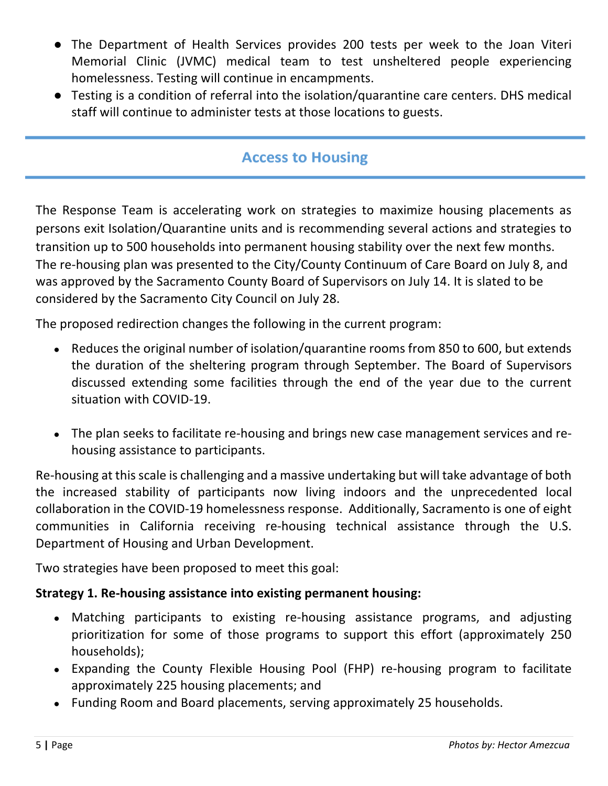- The Department of Health Services provides 200 tests per week to the Joan Viteri Memorial Clinic (JVMC) medical team to test unsheltered people experiencing homelessness. Testing will continue in encampments.
- Testing is a condition of referral into the isolation/quarantine care centers. DHS medical staff will continue to administer tests at those locations to guests.

## **Access to Housing**

The Response Team is accelerating work on strategies to maximize housing placements as persons exit Isolation/Quarantine units and is recommending several actions and strategies to transition up to 500 households into permanent housing stability over the next few months. The re-housing plan was presented to the City/County Continuum of Care Board on July 8, and was approved by the Sacramento County Board of Supervisors on July 14. It is slated to be considered by the Sacramento City Council on July 28.

The proposed redirection changes the following in the current program:

- Reduces the original number of isolation/quarantine rooms from 850 to 600, but extends the duration of the sheltering program through September. The Board of Supervisors discussed extending some facilities through the end of the year due to the current situation with COVID-19.
- The plan seeks to facilitate re-housing and brings new case management services and rehousing assistance to participants.

Re-housing at this scale is challenging and a massive undertaking but will take advantage of both the increased stability of participants now living indoors and the unprecedented local collaboration in the COVID-19 homelessness response. Additionally, Sacramento is one of eight communities in California receiving re-housing technical assistance through the U.S. Department of Housing and Urban Development.

Two strategies have been proposed to meet this goal:

#### **Strategy 1. Re-housing assistance into existing permanent housing:**

- Matching participants to existing re-housing assistance programs, and adjusting prioritization for some of those programs to support this effort (approximately 250 households);
- Expanding the County Flexible Housing Pool (FHP) re-housing program to facilitate approximately 225 housing placements; and
- Funding Room and Board placements, serving approximately 25 households.